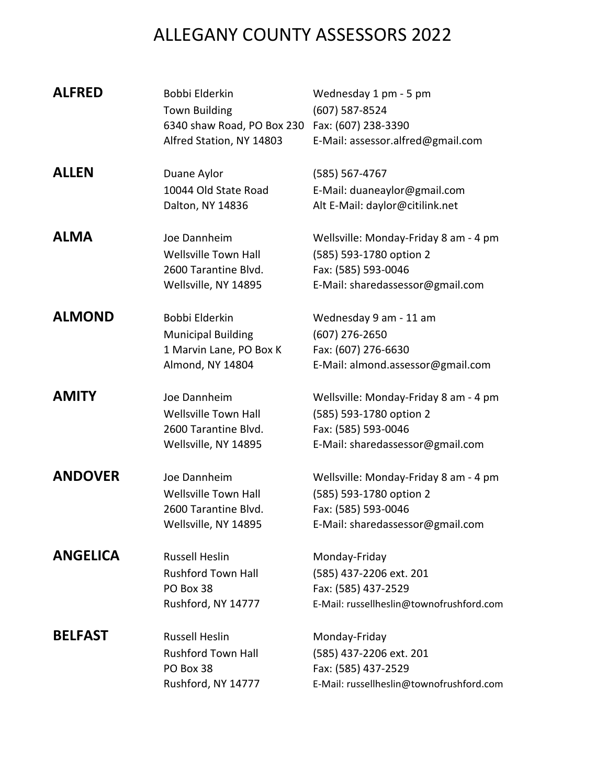| <b>ALFRED</b>   | Bobbi Elderkin<br><b>Town Building</b><br>6340 shaw Road, PO Box 230 Fax: (607) 238-3390<br>Alfred Station, NY 14803 | Wednesday 1 pm - 5 pm<br>(607) 587-8524<br>E-Mail: assessor.alfred@gmail.com                                                |
|-----------------|----------------------------------------------------------------------------------------------------------------------|-----------------------------------------------------------------------------------------------------------------------------|
| <b>ALLEN</b>    | Duane Aylor                                                                                                          | (585) 567-4767                                                                                                              |
|                 | 10044 Old State Road<br>Dalton, NY 14836                                                                             | E-Mail: duaneaylor@gmail.com<br>Alt E-Mail: daylor@citilink.net                                                             |
| <b>ALMA</b>     | Joe Dannheim<br>Wellsville Town Hall<br>2600 Tarantine Blvd.<br>Wellsville, NY 14895                                 | Wellsville: Monday-Friday 8 am - 4 pm<br>(585) 593-1780 option 2<br>Fax: (585) 593-0046<br>E-Mail: sharedassessor@gmail.com |
| <b>ALMOND</b>   | Bobbi Elderkin                                                                                                       | Wednesday 9 am - 11 am                                                                                                      |
|                 | <b>Municipal Building</b>                                                                                            | (607) 276-2650                                                                                                              |
|                 | 1 Marvin Lane, PO Box K                                                                                              | Fax: (607) 276-6630                                                                                                         |
|                 | Almond, NY 14804                                                                                                     | E-Mail: almond.assessor@gmail.com                                                                                           |
| <b>AMITY</b>    | Joe Dannheim                                                                                                         | Wellsville: Monday-Friday 8 am - 4 pm                                                                                       |
|                 | Wellsville Town Hall                                                                                                 | (585) 593-1780 option 2                                                                                                     |
|                 | 2600 Tarantine Blvd.                                                                                                 | Fax: (585) 593-0046                                                                                                         |
|                 | Wellsville, NY 14895                                                                                                 | E-Mail: sharedassessor@gmail.com                                                                                            |
| <b>ANDOVER</b>  | Joe Dannheim                                                                                                         | Wellsville: Monday-Friday 8 am - 4 pm                                                                                       |
|                 | Wellsville Town Hall                                                                                                 | (585) 593-1780 option 2                                                                                                     |
|                 | 2600 Tarantine Blvd.                                                                                                 | Fax: (585) 593-0046                                                                                                         |
|                 | Wellsville, NY 14895                                                                                                 | E-Mail: sharedassessor@gmail.com                                                                                            |
| <b>ANGELICA</b> | <b>Russell Heslin</b>                                                                                                | Monday-Friday                                                                                                               |
|                 | <b>Rushford Town Hall</b>                                                                                            | (585) 437-2206 ext. 201                                                                                                     |
|                 | PO Box 38                                                                                                            | Fax: (585) 437-2529                                                                                                         |
|                 | Rushford, NY 14777                                                                                                   | E-Mail: russellheslin@townofrushford.com                                                                                    |
| <b>BELFAST</b>  | <b>Russell Heslin</b>                                                                                                | Monday-Friday                                                                                                               |
|                 | <b>Rushford Town Hall</b>                                                                                            | (585) 437-2206 ext. 201                                                                                                     |
|                 | PO Box 38                                                                                                            | Fax: (585) 437-2529                                                                                                         |
|                 | Rushford, NY 14777                                                                                                   | E-Mail: russellheslin@townofrushford.com                                                                                    |
|                 |                                                                                                                      |                                                                                                                             |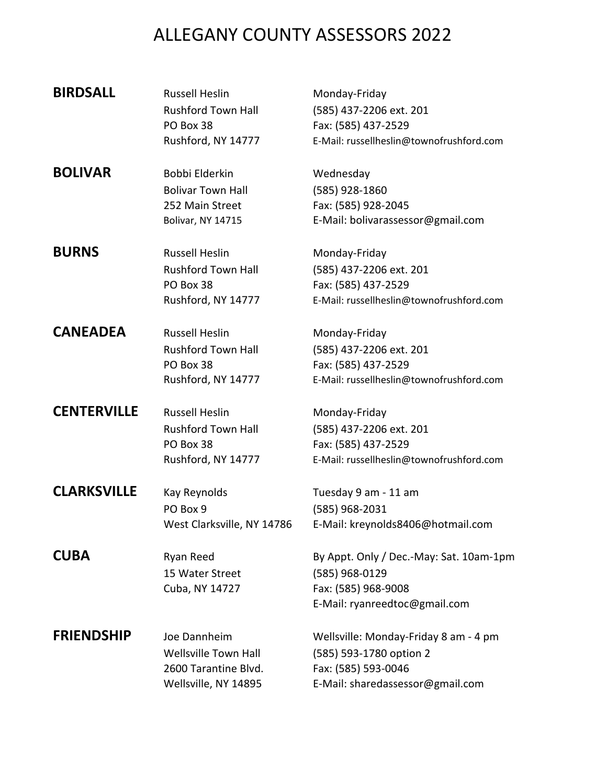| <b>BIRDSALL</b>    | <b>Russell Heslin</b><br><b>Rushford Town Hall</b><br>PO Box 38<br>Rushford, NY 14777     | Monday-Friday<br>(585) 437-2206 ext. 201<br>Fax: (585) 437-2529<br>E-Mail: russellheslin@townofrushford.com                 |
|--------------------|-------------------------------------------------------------------------------------------|-----------------------------------------------------------------------------------------------------------------------------|
| <b>BOLIVAR</b>     | Bobbi Elderkin<br><b>Bolivar Town Hall</b><br>252 Main Street<br><b>Bolivar, NY 14715</b> | Wednesday<br>(585) 928-1860<br>Fax: (585) 928-2045<br>E-Mail: bolivarassessor@gmail.com                                     |
| <b>BURNS</b>       | <b>Russell Heslin</b><br><b>Rushford Town Hall</b><br>PO Box 38<br>Rushford, NY 14777     | Monday-Friday<br>(585) 437-2206 ext. 201<br>Fax: (585) 437-2529<br>E-Mail: russellheslin@townofrushford.com                 |
| <b>CANEADEA</b>    | <b>Russell Heslin</b><br><b>Rushford Town Hall</b><br>PO Box 38<br>Rushford, NY 14777     | Monday-Friday<br>(585) 437-2206 ext. 201<br>Fax: (585) 437-2529<br>E-Mail: russellheslin@townofrushford.com                 |
| <b>CENTERVILLE</b> | <b>Russell Heslin</b><br><b>Rushford Town Hall</b><br>PO Box 38<br>Rushford, NY 14777     | Monday-Friday<br>(585) 437-2206 ext. 201<br>Fax: (585) 437-2529<br>E-Mail: russellheslin@townofrushford.com                 |
| <b>CLARKSVILLE</b> | Kay Reynolds<br>PO Box 9<br>West Clarksville, NY 14786                                    | Tuesday 9 am - 11 am<br>(585) 968-2031<br>E-Mail: kreynolds8406@hotmail.com                                                 |
| <b>CUBA</b>        | Ryan Reed<br>15 Water Street<br>Cuba, NY 14727                                            | By Appt. Only / Dec.-May: Sat. 10am-1pm<br>(585) 968-0129<br>Fax: (585) 968-9008<br>E-Mail: ryanreedtoc@gmail.com           |
| <b>FRIENDSHIP</b>  | Joe Dannheim<br>Wellsville Town Hall<br>2600 Tarantine Blvd.<br>Wellsville, NY 14895      | Wellsville: Monday-Friday 8 am - 4 pm<br>(585) 593-1780 option 2<br>Fax: (585) 593-0046<br>E-Mail: sharedassessor@gmail.com |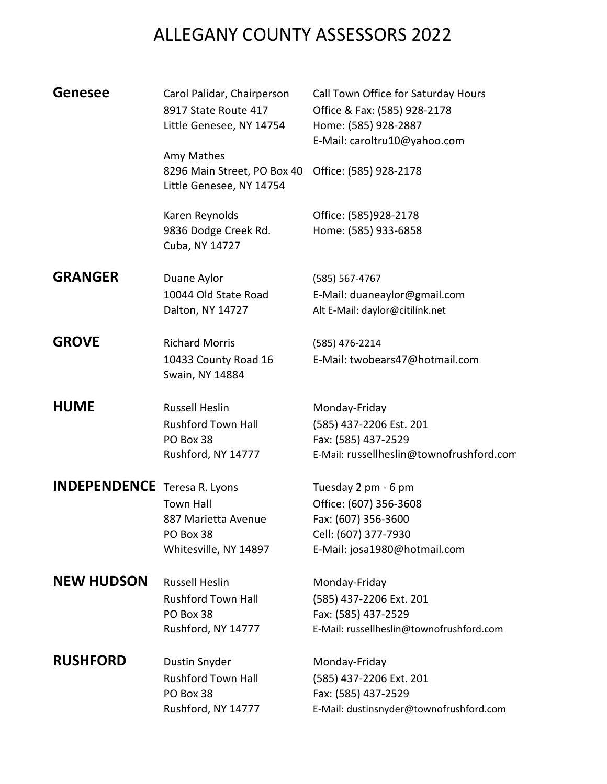| <b>Genesee</b>                      | Carol Palidar, Chairperson<br>8917 State Route 417<br>Little Genesee, NY 14754<br>Amy Mathes | Call Town Office for Saturday Hours<br>Office & Fax: (585) 928-2178<br>Home: (585) 928-2887<br>E-Mail: caroltru10@yahoo.com |
|-------------------------------------|----------------------------------------------------------------------------------------------|-----------------------------------------------------------------------------------------------------------------------------|
|                                     | 8296 Main Street, PO Box 40<br>Little Genesee, NY 14754                                      | Office: (585) 928-2178                                                                                                      |
|                                     | Karen Reynolds<br>9836 Dodge Creek Rd.<br>Cuba, NY 14727                                     | Office: (585)928-2178<br>Home: (585) 933-6858                                                                               |
| <b>GRANGER</b>                      | Duane Aylor                                                                                  | (585) 567-4767                                                                                                              |
|                                     | 10044 Old State Road                                                                         | E-Mail: duaneaylor@gmail.com                                                                                                |
|                                     | Dalton, NY 14727                                                                             | Alt E-Mail: daylor@citilink.net                                                                                             |
| <b>GROVE</b>                        | <b>Richard Morris</b>                                                                        | (585) 476-2214                                                                                                              |
|                                     | 10433 County Road 16<br>Swain, NY 14884                                                      | E-Mail: twobears47@hotmail.com                                                                                              |
| <b>HUME</b>                         | <b>Russell Heslin</b>                                                                        | Monday-Friday                                                                                                               |
|                                     | <b>Rushford Town Hall</b>                                                                    | (585) 437-2206 Est. 201                                                                                                     |
|                                     | PO Box 38                                                                                    | Fax: (585) 437-2529                                                                                                         |
|                                     | Rushford, NY 14777                                                                           | E-Mail: russellheslin@townofrushford.com                                                                                    |
| <b>INDEPENDENCE</b> Teresa R. Lyons |                                                                                              | Tuesday 2 pm - 6 pm                                                                                                         |
|                                     | <b>Town Hall</b>                                                                             | Office: (607) 356-3608                                                                                                      |
|                                     | 887 Marietta Avenue                                                                          | Fax: (607) 356-3600                                                                                                         |
|                                     | PO Box 38                                                                                    | Cell: (607) 377-7930                                                                                                        |
|                                     | Whitesville, NY 14897                                                                        | E-Mail: josa1980@hotmail.com                                                                                                |
| <b>NEW HUDSON</b>                   | <b>Russell Heslin</b>                                                                        | Monday-Friday                                                                                                               |
|                                     | <b>Rushford Town Hall</b>                                                                    | (585) 437-2206 Ext. 201                                                                                                     |
|                                     | PO Box 38                                                                                    | Fax: (585) 437-2529                                                                                                         |
|                                     | Rushford, NY 14777                                                                           | E-Mail: russellheslin@townofrushford.com                                                                                    |
| <b>RUSHFORD</b>                     | Dustin Snyder                                                                                | Monday-Friday                                                                                                               |
|                                     | <b>Rushford Town Hall</b>                                                                    | (585) 437-2206 Ext. 201                                                                                                     |
|                                     | PO Box 38                                                                                    | Fax: (585) 437-2529                                                                                                         |
|                                     | Rushford, NY 14777                                                                           | E-Mail: dustinsnyder@townofrushford.com                                                                                     |
|                                     |                                                                                              |                                                                                                                             |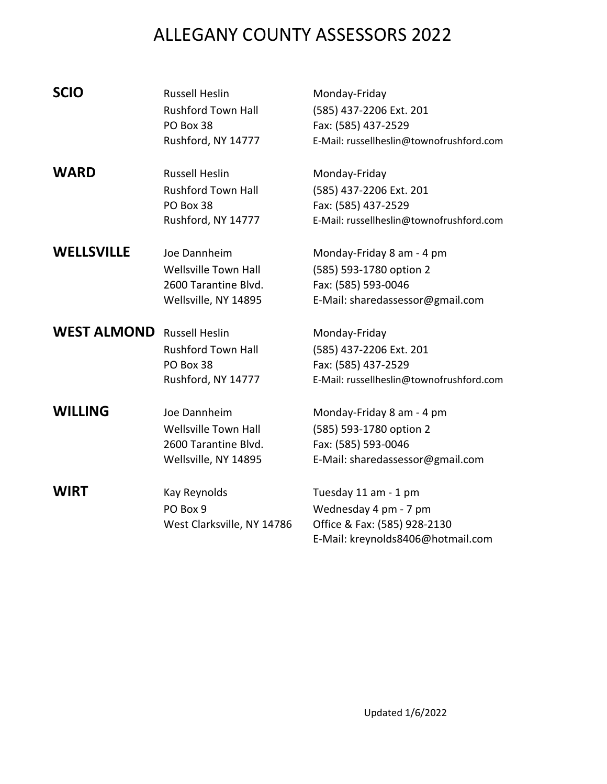| <b>SCIO</b>        | <b>Russell Heslin</b><br><b>Rushford Town Hall</b><br>PO Box 38<br>Rushford, NY 14777       | Monday-Friday<br>(585) 437-2206 Ext. 201<br>Fax: (585) 437-2529<br>E-Mail: russellheslin@townofrushford.com        |
|--------------------|---------------------------------------------------------------------------------------------|--------------------------------------------------------------------------------------------------------------------|
| <b>WARD</b>        | <b>Russell Heslin</b><br><b>Rushford Town Hall</b><br>PO Box 38<br>Rushford, NY 14777       | Monday-Friday<br>(585) 437-2206 Ext. 201<br>Fax: (585) 437-2529<br>E-Mail: russellheslin@townofrushford.com        |
| <b>WELLSVILLE</b>  | Joe Dannheim<br><b>Wellsville Town Hall</b><br>2600 Tarantine Blvd.<br>Wellsville, NY 14895 | Monday-Friday 8 am - 4 pm<br>(585) 593-1780 option 2<br>Fax: (585) 593-0046<br>E-Mail: sharedassessor@gmail.com    |
| <b>WEST ALMOND</b> | <b>Russell Heslin</b><br><b>Rushford Town Hall</b><br>PO Box 38<br>Rushford, NY 14777       | Monday-Friday<br>(585) 437-2206 Ext. 201<br>Fax: (585) 437-2529<br>E-Mail: russellheslin@townofrushford.com        |
| <b>WILLING</b>     | Joe Dannheim<br>Wellsville Town Hall<br>2600 Tarantine Blvd.<br>Wellsville, NY 14895        | Monday-Friday 8 am - 4 pm<br>(585) 593-1780 option 2<br>Fax: (585) 593-0046<br>E-Mail: sharedassessor@gmail.com    |
| <b>WIRT</b>        | Kay Reynolds<br>PO Box 9<br>West Clarksville, NY 14786                                      | Tuesday 11 am - 1 pm<br>Wednesday 4 pm - 7 pm<br>Office & Fax: (585) 928-2130<br>E-Mail: kreynolds8406@hotmail.com |